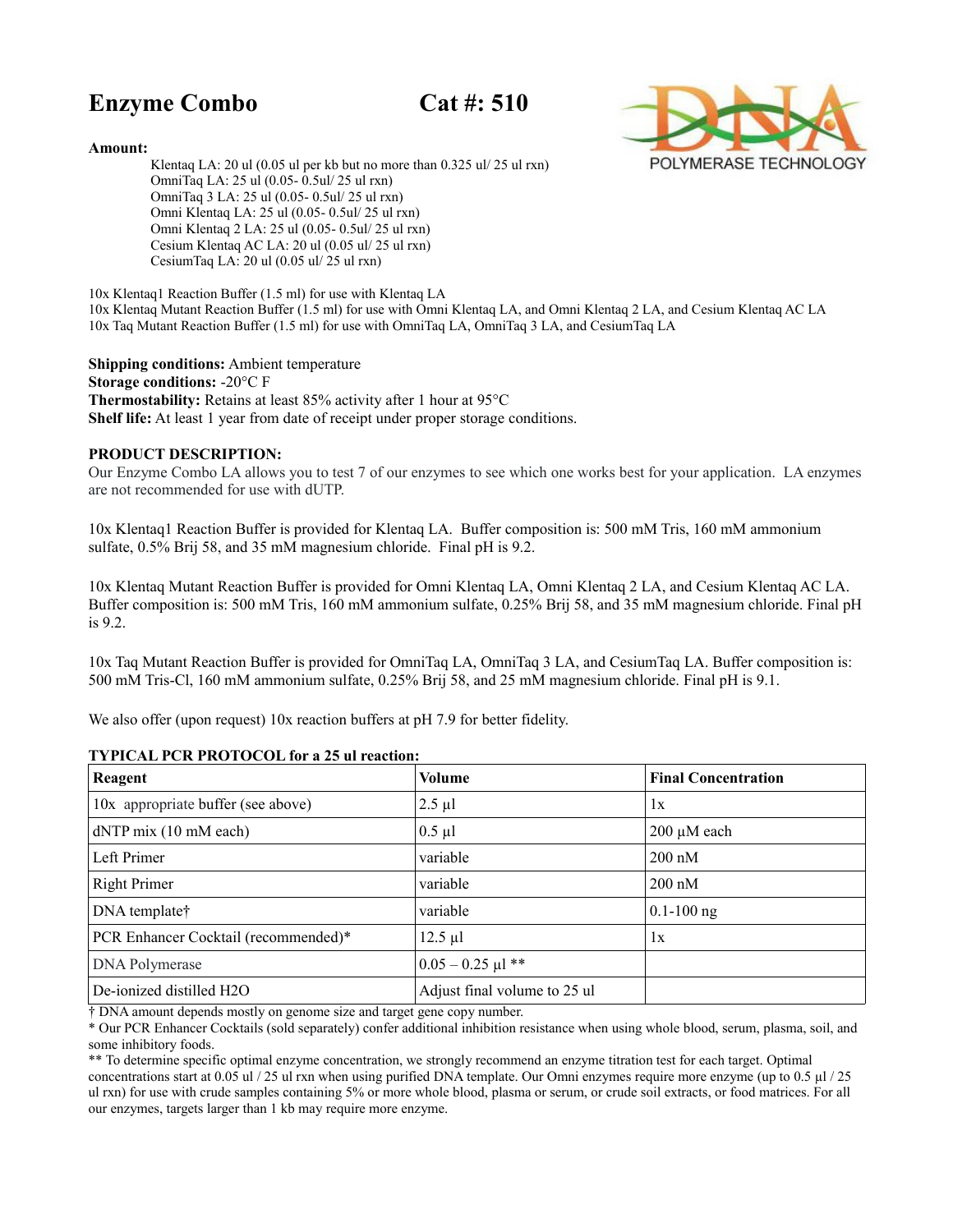# **Enzyme Combo Cat #: 510**



**Amount:**

 Klentaq LA: 20 ul (0.05 ul per kb but no more than 0.325 ul/ 25 ul rxn) OmniTaq LA: 25 ul (0.05- 0.5ul/ 25 ul rxn) OmniTaq 3 LA: 25 ul (0.05- 0.5ul/ 25 ul rxn) Omni Klentaq LA: 25 ul (0.05- 0.5ul/ 25 ul rxn) Omni Klentaq 2 LA: 25 ul (0.05- 0.5ul/ 25 ul rxn) Cesium Klentaq AC LA: 20 ul (0.05 ul/ 25 ul rxn) CesiumTaq LA: 20 ul (0.05 ul/ 25 ul rxn)

10x Klentaq1 Reaction Buffer (1.5 ml) for use with Klentaq LA 10x Klentaq Mutant Reaction Buffer (1.5 ml) for use with Omni Klentaq LA, and Omni Klentaq 2 LA, and Cesium Klentaq AC LA 10x Taq Mutant Reaction Buffer (1.5 ml) for use with OmniTaq LA, OmniTaq 3 LA, and CesiumTaq LA

**Shipping conditions:** Ambient temperature **Storage conditions:** -20°C F **Thermostability:** Retains at least 85% activity after 1 hour at 95°C **Shelf life:** At least 1 year from date of receipt under proper storage conditions.

## **PRODUCT DESCRIPTION:**

Our Enzyme Combo LA allows you to test 7 of our enzymes to see which one works best for your application. LA enzymes are not recommended for use with dUTP.

10x Klentaq1 Reaction Buffer is provided for Klentaq LA. Buffer composition is: 500 mM Tris, 160 mM ammonium sulfate, 0.5% Brij 58, and 35 mM magnesium chloride. Final pH is 9.2.

10x Klentaq Mutant Reaction Buffer is provided for Omni Klentaq LA, Omni Klentaq 2 LA, and Cesium Klentaq AC LA. Buffer composition is: 500 mM Tris, 160 mM ammonium sulfate, 0.25% Brij 58, and 35 mM magnesium chloride. Final pH is 9.2.

10x Taq Mutant Reaction Buffer is provided for OmniTaq LA, OmniTaq 3 LA, and CesiumTaq LA. Buffer composition is: 500 mM Tris-Cl, 160 mM ammonium sulfate, 0.25% Brij 58, and 25 mM magnesium chloride. Final pH is 9.1.

We also offer (upon request) 10x reaction buffers at pH 7.9 for better fidelity.

| Reagent                              | <b>Volume</b>                | <b>Final Concentration</b> |
|--------------------------------------|------------------------------|----------------------------|
| 10x appropriate buffer (see above)   | $2.5 \mu l$                  | 1x                         |
| $dNTP$ mix $(10$ mM each)            | $0.5 \mu l$                  | $200 \mu M$ each           |
| Left Primer                          | variable                     | $200 \text{ nM}$           |
| <b>Right Primer</b>                  | variable                     | $200 \text{ nM}$           |
| DNA template†                        | variable                     | $0.1 - 100$ ng             |
| PCR Enhancer Cocktail (recommended)* | $12.5 \mu l$                 | 1x                         |
| DNA Polymerase                       | $0.05 - 0.25$ µl **          |                            |
| De-ionized distilled H2O             | Adjust final volume to 25 ul |                            |

#### **TYPICAL PCR PROTOCOL for a 25 ul reaction:**

† DNA amount depends mostly on genome size and target gene copy number.

\* Our PCR Enhancer Cocktails (sold separately) confer additional inhibition resistance when using whole blood, serum, plasma, soil, and some inhibitory foods.

\*\* To determine specific optimal enzyme concentration, we strongly recommend an enzyme titration test for each target. Optimal

concentrations start at 0.05 ul / 25 ul rxn when using purified DNA template. Our Omni enzymes require more enzyme (up to 0.5 µl / 25 ul rxn) for use with crude samples containing 5% or more whole blood, plasma or serum, or crude soil extracts, or food matrices. For all our enzymes, targets larger than 1 kb may require more enzyme.